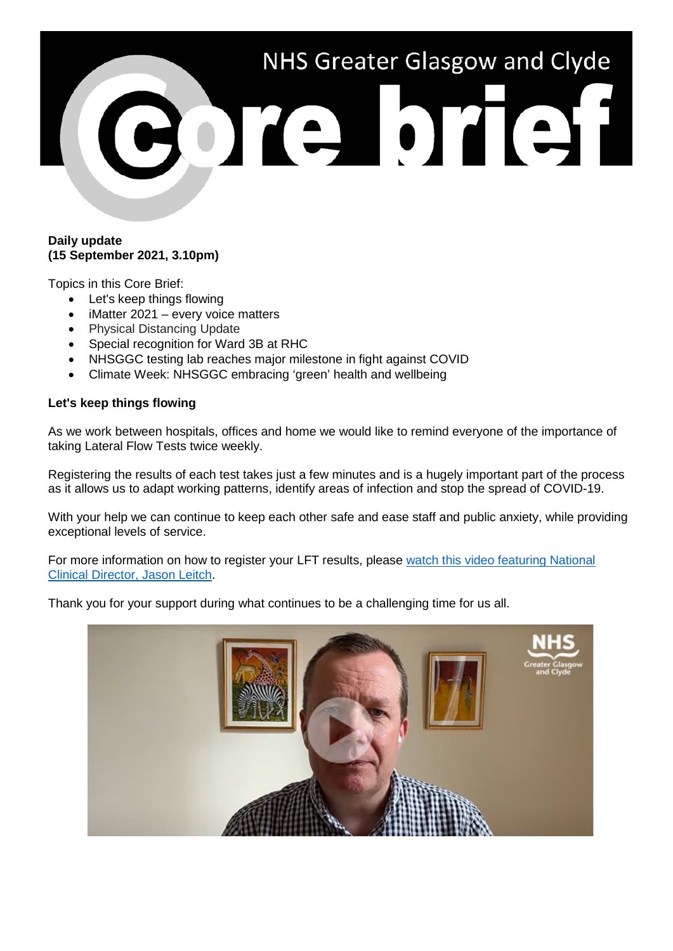# NHS Greater Glasgow and Clyde BOTA OTGH

## **Daily update (15 September 2021, 3.10pm)**

Topics in this Core Brief:

- Let's keep things flowing
- iMatter 2021 every voice matters
- Physical Distancing Update
- Special recognition for Ward 3B at RHC
- NHSGGC testing lab reaches major milestone in fight against COVID
- Climate Week: NHSGGC embracing 'green' health and wellbeing

## **Let's keep things flowing**

As we work between hospitals, offices and home we would like to remind everyone of the importance of taking Lateral Flow Tests twice weekly.

Registering the results of each test takes just a few minutes and is a hugely important part of the process as it allows us to adapt working patterns, identify areas of infection and stop the spread of COVID-19.

With your help we can continue to keep each other safe and ease staff and public anxiety, while providing exceptional levels of service.

For more information on how to register your LFT results, please [watch this video featuring National](https://www.youtube.com/watch?v=L0AcWlToQsg)  [Clinical Director, Jason Leitch.](https://www.youtube.com/watch?v=L0AcWlToQsg)

Thank you for your support during what continues to be a challenging time for us all.

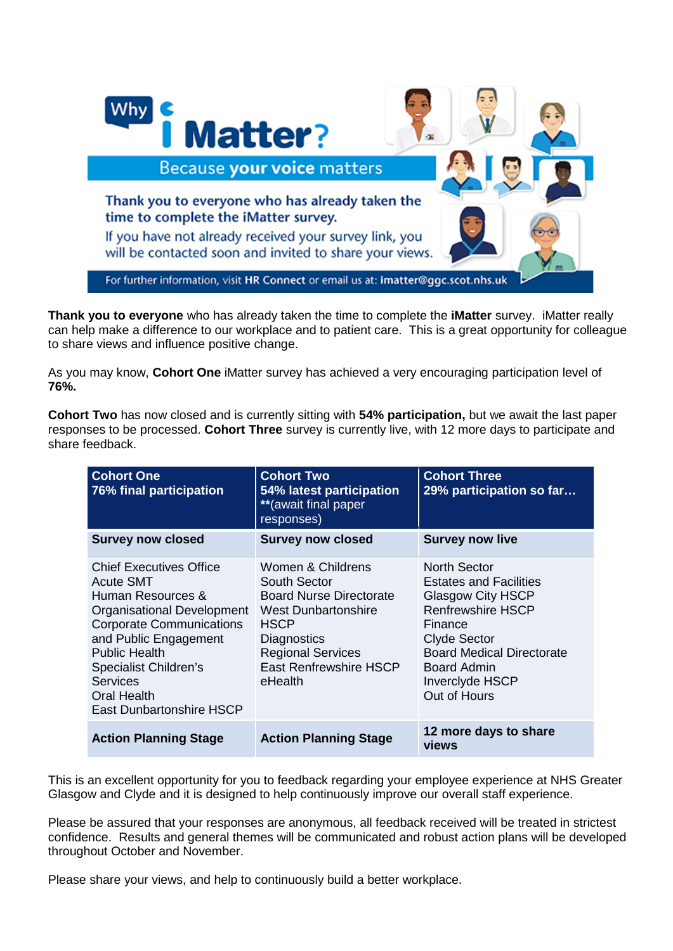

**Thank you to everyone** who has already taken the time to complete the **iMatter** survey. iMatter really can help make a difference to our workplace and to patient care. This is a great opportunity for colleague to share views and influence positive change.

As you may know, **Cohort One** iMatter survey has achieved a very encouraging participation level of **76%.** 

**Cohort Two** has now closed and is currently sitting with **54% participation,** but we await the last paper responses to be processed. **Cohort Three** survey is currently live, with 12 more days to participate and share feedback.

| <b>Cohort One</b><br>76% final participation                                                                                                                                                                                                                                            | <b>Cohort Two</b><br>54% latest participation<br>** (await final paper<br>responses)                                                                                                                           | <b>Cohort Three</b><br>29% participation so far                                                                                                                                                                        |
|-----------------------------------------------------------------------------------------------------------------------------------------------------------------------------------------------------------------------------------------------------------------------------------------|----------------------------------------------------------------------------------------------------------------------------------------------------------------------------------------------------------------|------------------------------------------------------------------------------------------------------------------------------------------------------------------------------------------------------------------------|
| <b>Survey now closed</b>                                                                                                                                                                                                                                                                | <b>Survey now closed</b>                                                                                                                                                                                       | <b>Survey now live</b>                                                                                                                                                                                                 |
| <b>Chief Executives Office</b><br><b>Acute SMT</b><br>Human Resources &<br>Organisational Development<br><b>Corporate Communications</b><br>and Public Engagement<br><b>Public Health</b><br>Specialist Children's<br><b>Services</b><br><b>Oral Health</b><br>East Dunbartonshire HSCP | Women & Childrens<br>South Sector<br><b>Board Nurse Directorate</b><br><b>West Dunbartonshire</b><br><b>HSCP</b><br><b>Diagnostics</b><br><b>Regional Services</b><br><b>East Renfrewshire HSCP</b><br>eHealth | North Sector<br><b>Estates and Facilities</b><br><b>Glasgow City HSCP</b><br>Renfrewshire HSCP<br>Finance<br><b>Clyde Sector</b><br><b>Board Medical Directorate</b><br>Board Admin<br>Inverclyde HSCP<br>Out of Hours |
| <b>Action Planning Stage</b>                                                                                                                                                                                                                                                            | <b>Action Planning Stage</b>                                                                                                                                                                                   | 12 more days to share<br><b>views</b>                                                                                                                                                                                  |

This is an excellent opportunity for you to feedback regarding your employee experience at NHS Greater Glasgow and Clyde and it is designed to help continuously improve our overall staff experience.

Please be assured that your responses are anonymous, all feedback received will be treated in strictest confidence. Results and general themes will be communicated and robust action plans will be developed throughout October and November.

Please share your views, and help to continuously build a better workplace.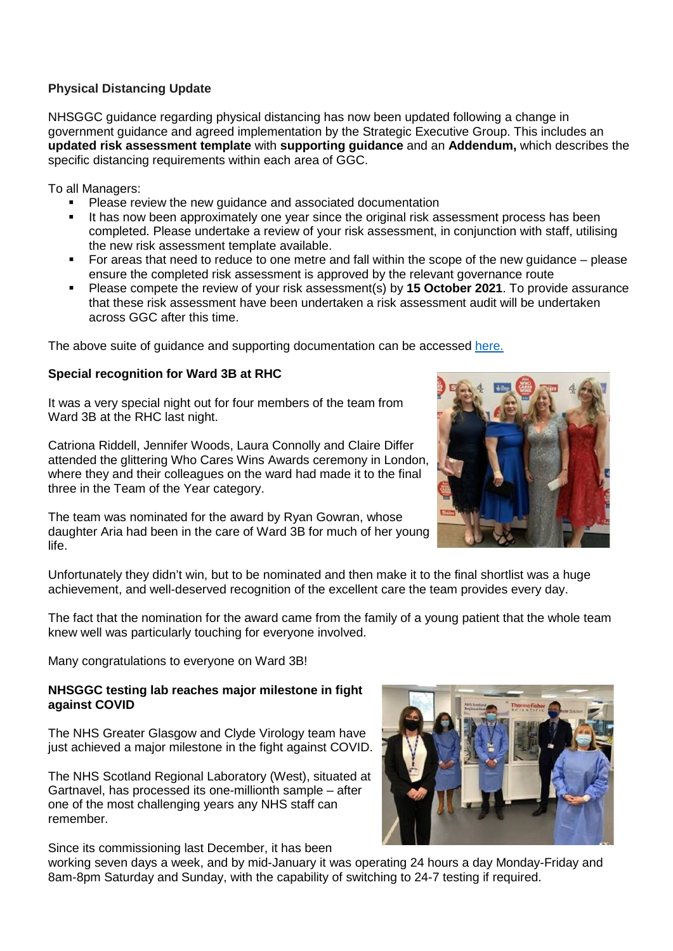# **Physical Distancing Update**

NHSGGC guidance regarding physical distancing has now been updated following a change in government guidance and agreed implementation by the Strategic Executive Group. This includes an **updated risk assessment template** with **supporting guidance** and an **Addendum,** which describes the specific distancing requirements within each area of GGC.

To all Managers:

- Please review the new guidance and associated documentation
- It has now been approximately one year since the original risk assessment process has been completed. Please undertake a review of your risk assessment, in conjunction with staff, utilising the new risk assessment template available.
- For areas that need to reduce to one metre and fall within the scope of the new guidance please ensure the completed risk assessment is approved by the relevant governance route
- Please compete the review of your risk assessment(s) by **15 October 2021**. To provide assurance that these risk assessment have been undertaken a risk assessment audit will be undertaken across GGC after this time.

The above suite of guidance and supporting documentation can be accessed [here.](https://www.nhsggc.org.uk/your-health/health-issues/covid-19-coronavirus/for-nhsggc-staff/social-distancing-in-the-workplace/)

# **Special recognition for Ward 3B at RHC**

It was a very special night out for four members of the team from Ward 3B at the RHC last night.

Catriona Riddell, Jennifer Woods, Laura Connolly and Claire Differ attended the glittering Who Cares Wins Awards ceremony in London, where they and their colleagues on the ward had made it to the final three in the Team of the Year category.

The team was nominated for the award by Ryan Gowran, whose daughter Aria had been in the care of Ward 3B for much of her young life.



Unfortunately they didn't win, but to be nominated and then make it to the final shortlist was a huge achievement, and well-deserved recognition of the excellent care the team provides every day.

The fact that the nomination for the award came from the family of a young patient that the whole team knew well was particularly touching for everyone involved.

Many congratulations to everyone on Ward 3B!

#### **NHSGGC testing lab reaches major milestone in fight against COVID**

The NHS Greater Glasgow and Clyde Virology team have just achieved a major milestone in the fight against COVID.

The NHS Scotland Regional Laboratory (West), situated at Gartnavel, has processed its one-millionth sample – after one of the most challenging years any NHS staff can remember.

Since its commissioning last December, it has been



working seven days a week, and by mid-January it was operating 24 hours a day Monday-Friday and 8am-8pm Saturday and Sunday, with the capability of switching to 24-7 testing if required.